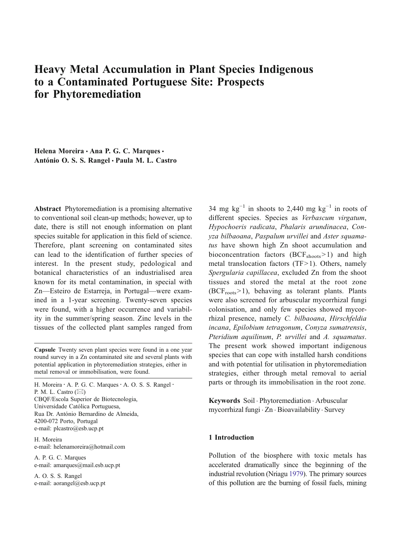# Heavy Metal Accumulation in Plant Species Indigenous to a Contaminated Portuguese Site: Prospects for Phytoremediation

Helena Moreira · Ana P. G. C. Marques · António O. S. S. Rangel · Paula M. L. Castro

Abstract Phytoremediation is a promising alternative to conventional soil clean-up methods; however, up to date, there is still not enough information on plant species suitable for application in this field of science. Therefore, plant screening on contaminated sites can lead to the identification of further species of interest. In the present study, pedological and botanical characteristics of an industrialised area known for its metal contamination, in special with Zn—Esteiro de Estarreja, in Portugal—were examined in a 1-year screening. Twenty-seven species were found, with a higher occurrence and variability in the summer/spring season. Zinc levels in the tissues of the collected plant samples ranged from

Capsule Twenty seven plant species were found in a one year round survey in a Zn contaminated site and several plants with potential application in phytoremediation strategies, either in metal removal or immobilisation, were found.

H. Moreira · A. P. G. C. Marques · A. O. S. S. Rangel · P. M. L. Castro  $(\boxtimes)$ CBQF/Escola Superior de Biotecnologia, Universidade Católica Portuguesa, Rua Dr. António Bernardino de Almeida, 4200-072 Porto, Portugal e-mail: plcastro@esb.ucp.pt

H. Moreira e-mail: helenamoreira@hotmail.com

A. P. G. C. Marques e-mail: amarques@mail.esb.ucp.pt

A. O. S. S. Rangel e-mail: aorangel@esb.ucp.pt 34 mg kg<sup>-1</sup> in shoots to 2,440 mg kg<sup>-1</sup> in roots of different species. Species as Verbascum virgatum, Hypochoeris radicata, Phalaris arundinacea, Conyza bilbaoana, Paspalum urvillei and Aster squamatus have shown high Zn shoot accumulation and bioconcentration factors  $(BCF<sub>shots</sub> > 1)$  and high metal translocation factors (TF>1). Others, namely Spergularia capillacea, excluded Zn from the shoot tissues and stored the metal at the root zone  $(BCF<sub>roots</sub> > 1)$ , behaving as tolerant plants. Plants were also screened for arbuscular mycorrhizal fungi colonisation, and only few species showed mycorrhizal presence, namely C. bilbaoana, Hirschfeldia incana, Epilobium tetragonum, Conyza sumatrensis, Pteridium aquilinum, P. urvillei and A. squamatus. The present work showed important indigenous species that can cope with installed harsh conditions and with potential for utilisation in phytoremediation strategies, either through metal removal to aerial parts or through its immobilisation in the root zone.

Keywords Soil . Phytoremediation . Arbuscular mycorrhizal fungi . Zn . Bioavailability . Survey

# 1 Introduction

Pollution of the biosphere with toxic metals has accelerated dramatically since the beginning of the industrial revolution (Nriagu [1979\)](#page-11-0). The primary sources of this pollution are the burning of fossil fuels, mining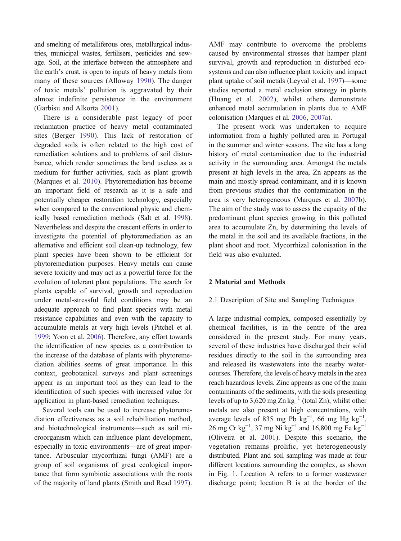and smelting of metalliferous ores, metallurgical industries, municipal wastes, fertilisers, pesticides and sewage. Soil, at the interface between the atmosphere and the earth's crust, is open to inputs of heavy metals from many of these sources (Alloway [1990\)](#page-10-0). The danger of toxic metals' pollution is aggravated by their almost indefinite persistence in the environment (Garbisu and Alkorta [2001\)](#page-11-0).

There is a considerable past legacy of poor reclamation practice of heavy metal contaminated sites (Berger [1990\)](#page-11-0). This lack of restoration of degraded soils is often related to the high cost of remediation solutions and to problems of soil disturbance, which render sometimes the land useless as a medium for further activities, such as plant growth (Marques et al. [2010](#page-11-0)). Phytoremediation has become an important field of research as it is a safe and potentially cheaper restoration technology, especially when compared to the conventional physic and chemically based remediation methods (Salt et al. [1998\)](#page-12-0). Nevertheless and despite the crescent efforts in order to investigate the potential of phytoremediation as an alternative and efficient soil clean-up technology, few plant species have been shown to be efficient for phytoremediation purposes. Heavy metals can cause severe toxicity and may act as a powerful force for the evolution of tolerant plant populations. The search for plants capable of survival, growth and reproduction under metal-stressful field conditions may be an adequate approach to find plant species with metal resistance capabilities and even with the capacity to accumulate metals at very high levels (Pitchel et al. [1999](#page-11-0); Yoon et al. [2006\)](#page-12-0). Therefore, any effort towards the identification of new species as a contribution to the increase of the database of plants with phytoremediation abilities seems of great importance. In this context, geobotanical surveys and plant screenings appear as an important tool as they can lead to the identification of such species with increased value for application in plant-based remediation techniques.

Several tools can be used to increase phytoremediation effectiveness as a soil rehabilitation method, and biotechnological instruments—such as soil microorganism which can influence plant development, especially in toxic environments—are of great importance. Arbuscular mycorrhizal fungi (AMF) are a group of soil organisms of great ecological importance that form symbiotic associations with the roots of the majority of land plants (Smith and Read [1997](#page-12-0)).

AMF may contribute to overcome the problems caused by environmental stresses that hamper plant survival, growth and reproduction in disturbed ecosystems and can also influence plant toxicity and impact plant uptake of soil metals (Leyval et al. [1997\)](#page-11-0)—some studies reported a metal exclusion strategy in plants (Huang et al. [2002\)](#page-11-0), whilst others demonstrate enhanced metal accumulation in plants due to AMF colonisation (Marques et al. [2006](#page-11-0), [2007a\)](#page-11-0).

The present work was undertaken to acquire information from a highly polluted area in Portugal in the summer and winter seasons. The site has a long history of metal contamination due to the industrial activity in the surrounding area. Amongst the metals present at high levels in the area, Zn appears as the main and mostly spread contaminant, and it is known from previous studies that the contamination in the area is very heterogeneous (Marques et al. [2007b](#page-11-0)). The aim of the study was to assess the capacity of the predominant plant species growing in this polluted area to accumulate Zn, by determining the levels of the metal in the soil and its available fractions, in the plant shoot and root. Mycorrhizal colonisation in the field was also evaluated.

## 2 Material and Methods

#### 2.1 Description of Site and Sampling Techniques

A large industrial complex, composed essentially by chemical facilities, is in the centre of the area considered in the present study. For many years, several of these industries have discharged their solid residues directly to the soil in the surrounding area and released its wastewaters into the nearby watercourses. Therefore, the levels of heavy metals in the area reach hazardous levels. Zinc appears as one of the main contaminants of the sediments, with the soils presenting levels of up to 3,620 mg Zn kg<sup>-1</sup> (total Zn), whilst other metals are also present at high concentrations, with average levels of 835 mg Pb  $kg^{-1}$ , 66 mg Hg  $kg^{-1}$ , 26 mg Cr kg<sup>-1</sup>, 37 mg Ni kg<sup>-1</sup> and 16,800 mg Fe kg<sup>-1</sup> (Oliveira et al. [2001\)](#page-11-0). Despite this scenario, the vegetation remains prolific, yet heterogeneously distributed. Plant and soil sampling was made at four different locations surrounding the complex, as shown in Fig. [1.](#page-2-0) Location A refers to a former wastewater discharge point; location B is at the border of the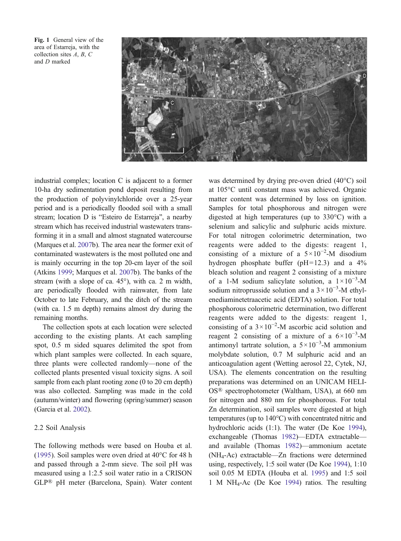<span id="page-2-0"></span>Fig. 1 General view of the area of Estarreja, with the collection sites  $A, B, C$ and D marked



industrial complex; location C is adjacent to a former 10-ha dry sedimentation pond deposit resulting from the production of polyvinylchloride over a 25-year period and is a periodically flooded soil with a small stream; location D is "Esteiro de Estarreja", a nearby stream which has received industrial wastewaters transforming it in a small and almost stagnated watercourse (Marques et al. [2007b](#page-11-0)). The area near the former exit of contaminated wastewaters is the most polluted one and is mainly occurring in the top 20-cm layer of the soil (Atkins [1999](#page-10-0); Marques et al. [2007](#page-11-0)b). The banks of the stream (with a slope of ca. 45°), with ca. 2 m width, are periodically flooded with rainwater, from late October to late February, and the ditch of the stream (with ca. 1.5 m depth) remains almost dry during the remaining months.

The collection spots at each location were selected according to the existing plants. At each sampling spot, 0.5 m sided squares delimited the spot from which plant samples were collected. In each square, three plants were collected randomly—none of the collected plants presented visual toxicity signs. A soil sample from each plant rooting zone (0 to 20 cm depth) was also collected. Sampling was made in the cold (autumn/winter) and flowering (spring/summer) season (Garcia et al. [2002](#page-11-0)).

## 2.2 Soil Analysis

The following methods were based on Houba et al. ([1995\)](#page-11-0). Soil samples were oven dried at 40°C for 48 h and passed through a 2-mm sieve. The soil pH was measured using a 1:2.5 soil water ratio in a CRISON GLP® pH meter (Barcelona, Spain). Water content was determined by drying pre-oven dried (40°C) soil at 105°C until constant mass was achieved. Organic matter content was determined by loss on ignition. Samples for total phosphorous and nitrogen were digested at high temperatures (up to 330°C) with a selenium and salicylic and sulphuric acids mixture. For total nitrogen colorimetric determination, two reagents were added to the digests: reagent 1, consisting of a mixture of a  $5 \times 10^{-2}$ -M disodium hydrogen phosphate buffer (pH=12.3) and a 4% bleach solution and reagent 2 consisting of a mixture of a 1-M sodium salicylate solution, a  $1 \times 10^{-3}$ -M sodium nitroprusside solution and a  $3 \times 10^{-3}$ -M ethylenediaminetetraacetic acid (EDTA) solution. For total phosphorous colorimetric determination, two different reagents were added to the digests: reagent 1, consisting of a  $3 \times 10^{-2}$ -M ascorbic acid solution and reagent 2 consisting of a mixture of a  $6 \times 10^{-3}$ -M antimonyl tartrate solution, a  $5 \times 10^{-3}$ -M ammonium molybdate solution, 0.7 M sulphuric acid and an anticoagulation agent (Wetting aerosol 22, Cytek, NJ, USA). The elements concentration on the resulting preparations was determined on an UNICAM HELI-OS® spectrophotometer (Waltham, USA), at 660 nm for nitrogen and 880 nm for phosphorous. For total Zn determination, soil samples were digested at high temperatures (up to 140°C) with concentrated nitric and hydrochloric acids (1:1). The water (De Koe [1994\)](#page-11-0), exchangeable (Thomas [1982\)](#page-12-0)—EDTA extractable and available (Thomas [1982\)](#page-12-0)—ammonium acetate (NH4-Ac) extractable—Zn fractions were determined using, respectively, 1:5 soil water (De Koe [1994\)](#page-11-0), 1:10 soil 0.05 M EDTA (Houba et al. [1995](#page-11-0)) and 1:5 soil 1 M NH4-Ac (De Koe [1994](#page-11-0)) ratios. The resulting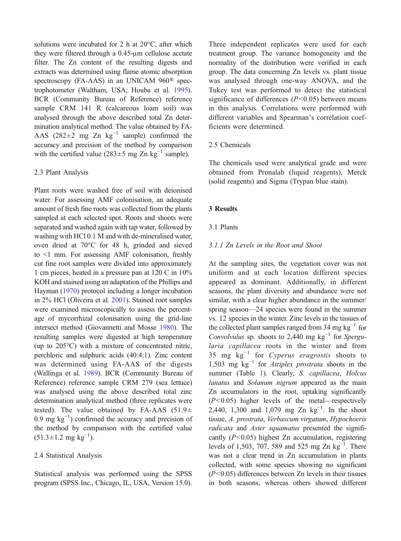solutions were incubated for 2 h at 20°C, after which they were filtered through a 0.45-μm cellulose acetate filter. The Zn content of the resulting digests and extracts was determined using flame atomic absorption spectroscopy (FA-AAS) in an UNICAM 960<sup>®</sup> spectrophotometer (Waltham, USA; Houba et al. [1995\)](#page-11-0). BCR (Community Bureau of Reference) reference sample CRM 141 R (calcareous loam soil) was analysed through the above described total Zn determination analytical method. The value obtained by FA-AAS (282 $\pm$ 2 mg Zn kg<sup>-1</sup> sample) confirmed the accuracy and precision of the method by comparison with the certified value (283±5 mg Zn kg<sup>-1</sup> sample).

## 2.3 Plant Analysis

Plant roots were washed free of soil with deionised water. For assessing AMF colonisation, an adequate amount of fresh fine roots was collected from the plants sampled at each selected spot. Roots and shoots were separated and washed again with tap water, followed by washing with HCl 0.1 M and with de-mineralised water, oven dried at 70°C for 48 h, grinded and sieved to <1 mm. For assessing AMF colonisation, freshly cut fine root samples were divided into approximately 1 cm pieces, heated in a pressure pan at 120 C in 10% KOH and stained using an adaptation of the Phillips and Hayman [\(1970\)](#page-11-0) protocol including a longer incubation in 2% HCl (Oliveira et al. [2001\)](#page-11-0). Stained root samples were examined microscopically to assess the percentage of mycorrhizal colonisation using the grid-line intersect method (Giovannetti and Mosse [1980](#page-11-0)). The resulting samples were digested at high temperature (up to 205°C) with a mixture of concentrated nitric, perchloric and sulphuric acids (40:4:1). Zinc content was determined using FA-AAS of the digests (Wallinga et al. [1989\)](#page-12-0). BCR (Community Bureau of Reference) reference sample CRM 279 (sea lettuce) was analysed using the above described total zinc determination analytical method (three replicates were tested). The value obtained by FA-AAS  $(51.9 \pm$ 0.9 mg kg−<sup>1</sup> ) confirmed the accuracy and precision of the method by comparison with the certified value  $(51.3 \pm 1.2 \text{ mg kg}^{-1})$ .

## 2.4 Statistical Analysis

Statistical analysis was performed using the SPSS program (SPSS Inc., Chicago, IL, USA, Version 15.0). Three independent replicates were used for each treatment group. The variance homogeneity and the normality of the distribution were verified in each group. The data concerning Zn levels vs. plant tissue was analysed through one-way ANOVA, and the Tukey test was performed to detect the statistical significance of differences  $(P<0.05)$  between means in this analysis. Correlations were performed with different variables and Spearman's correlation coefficients were determined.

### 2.5 Chemicals

The chemicals used were analytical grade and were obtained from Pronalab (liquid reagents), Merck (solid reagents) and Sigma (Trypan blue stain).

#### 3 Results

### 3.1 Plants

## 3.1.1 Zn Levels in the Root and Shoot

At the sampling sites, the vegetation cover was not uniform and at each location different species appeared as dominant. Additionally, in different seasons, the plant diversity and abundance were not similar, with a clear higher abundance in the summer/ spring season—24 species were found in the summer vs. 12 species in the winter. Zinc levels in the tissues of the collected plant samples ranged from 34 mg kg<sup> $-1$ </sup> for Convolvulus sp. shoots to 2,440 mg  $kg^{-1}$  for Spergularia capillacea roots in the winter and from 35 mg  $kg^{-1}$  for Cyperus eragrostis shoots to 1,503 mg  $kg^{-1}$  for *Atriplex prostrata* shoots in the summer (Table [1](#page-4-0)). Clearly, S. capillacea, Holcus lanatus and Solanum nigrum appeared as the main Zn accumulators in the root, uptaking significantly  $(P<0.05)$  higher levels of the metal—respectively 2,440, 1,300 and 1,079 mg Zn kg<sup>-1</sup>. In the shoot tissue, A. prostrata, Verbascum virgatum, Hypochoeris radicata and Aster squamatus presented the significantly  $(P<0.05)$  highest Zn accumulation, registering levels of 1,503, 707, 589 and 525 mg Zn  $kg^{-1}$ . There was not a clear trend in Zn accumulation in plants collected, with some species showing no significant  $(P<0.05)$  differences between Zn levels in their tissues in both seasons, whereas others showed different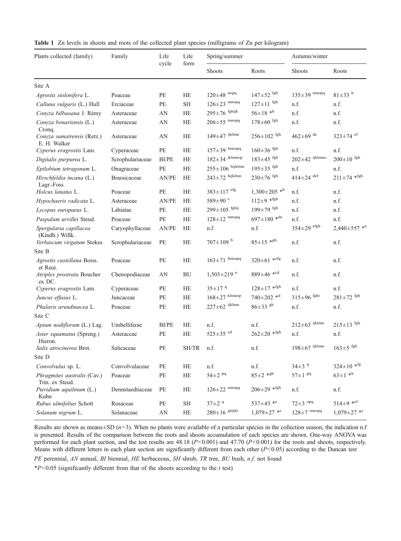<span id="page-4-0"></span>

| Table 1 Zn levels in shoots and roots of the collected plant species (milligrams of Zn per kilogram) |  |  |
|------------------------------------------------------------------------------------------------------|--|--|
|------------------------------------------------------------------------------------------------------|--|--|

| Plants collected (family)                      | Family              | Life<br>cycle | Life<br>form | Spring/summer                  |                              | Autumn/winter                |                              |
|------------------------------------------------|---------------------|---------------|--------------|--------------------------------|------------------------------|------------------------------|------------------------------|
|                                                |                     |               |              | Shoots                         | Roots                        | Shoots                       | Roots                        |
| Site A                                         |                     |               |              |                                |                              |                              |                              |
| Agrostis stolonifera L.                        | Poaceae             | PE            | HE           | $120{\pm}48$ nopq              | $147 \pm 52$ <sup>fgh</sup>  | $135 \pm 39$ mnopq           | $81 \pm 33$ h                |
| Calluna vulgaris (L.) Hull                     | Erciaceae           | PE            | <b>SH</b>    | $126 \pm 23$ <sup>mnopq</sup>  | $127 \pm 11$ fgh             | n.f.                         | n.f.                         |
| Conyza bilbaoana J. Rémy                       | Asteraceae          | AN            | HE           | $295\pm76$ fghijk              | $56 \pm 18$ * <sup>h</sup>   | n.f.                         | n.f.                         |
| Conyza bonariensis (L.)<br>Cronq.              | Asteraceae          | AN            | HE           | $206 \pm 55$ <sup>mnopq</sup>  | $178 \pm 60$ fgh             | n.f.                         | n.f.                         |
| Conyza sumatrensis (Retz.)<br>E. H. Walker     | Asteraceae          | AN            | <b>HE</b>    | $149 \pm 47$ ijklmn            | $256\!\pm\!102$ fgh          | $462 \pm 69$ de              | $323 \pm 74$ ef              |
| Cyperus eragrostis Lam.                        | Cyperaceae          | PE            | HE           | $157 \pm 39$ lmnopq            | $160 \pm 36$ <sup>fgh</sup>  | n.f.                         | n.f.                         |
| Digitalis purpurea L.                          | Scrophulariaceae    | BI/PE         | HE           | $182 \pm 34$ jklmnop           | $183 \pm 45$ fgh             | $202 \pm 42$ ijklmno         | $200\pm10$ fgh               |
| Epilobium tetragonum L.                        | Onagraceae          | PE            | HE           | $255 \pm 106$ hijklmn          | $195 \pm 35$ fgh             | n.f.                         | n.f.                         |
| Hirschfeldia incana (L.)<br>Lagr.-Foss.        | <b>Brassicaceae</b> | AN/PE         | HE           | $243 \pm 72$ hijklmn           | $230 \pm 76$ fgh             | $414 \pm 24$ def             | $211 \pm 74$ *fgh            |
| Holcus lanatus L.                              | Poaceae             | PE            | <b>HE</b>    | $383 \pm 117$ efg              | $1,300\pm205$ *b             | n.f.                         | n.f.                         |
| Hypochaeris radicata L.                        | Asteraceae          | AN/PE         | HE           | 589 $\pm$ 90 $^{\circ}$        | $112 \pm 9$ *fgh             | n.f.                         | n.f.                         |
| Lycopus europaeus L.                           | Labiatae            | PE            | HE           | $299 \pm 105$ fghij            | $199 \pm 79$ fgh             | n.f.                         | n.f.                         |
| Paspalum urvillei Steud.                       | Poaceae             | PE            | HE           | $128 \pm 12$ <sup>mnopq</sup>  | $697 \pm 180$ *de            | n.f.                         | n.f.                         |
| Spergularia capillacea<br>(Kindb.) Willk.      | Caryophyllaceae     | AN/PE         | <b>HE</b>    | n.f.                           | n.f.                         | $354\pm29$ efgh              | $2,440\pm557$ * <sup>a</sup> |
| Verbascum virgatum Stokes                      | Scrophulariaceae    | PE            | HE           | $707 \pm 109$ b                | $85 \pm 15$ *gh              | n.f.                         | n.f.                         |
| Site B                                         |                     |               |              |                                |                              |                              |                              |
| Agrostis castellana Boiss.<br>et Reut.         | Poaceae             | PE            | <b>HE</b>    | $163 \pm 71$ <sup>Imnopq</sup> | $320 \pm 61$ *efg            | n.f.                         | n.f.                         |
| Atriplex prostrata Boucher<br>ex DC.           | Chenopodiaceae      | AN            | BU           | $1,503\pm219$ <sup>a</sup>     | $889 \pm 46$ * $^{cd}$       | n.f.                         | n.f.                         |
| Cyperus eragrostis Lam.                        | Cyperaceae          | PE            | HE           | $35 \pm 17$ <sup>q</sup>       | $128 \pm 17$ *fgh            | n.f.                         | n.f.                         |
| Juncus effusus L.                              | Juncaceae           | PE            | HE           | $168 \pm 27$ klmnop            | $740 \pm 202$ * <sup>d</sup> | $315\pm96$ fghi              | $281 \pm 72$ fgh             |
| Phalaris arundinacea L.                        | Poaceae             | PE            | HE           | $227 \pm 62$ ijklmn            | $86 \pm 33$ gh               | n.f.                         | n.f.                         |
| Site C                                         |                     |               |              |                                |                              |                              |                              |
| <i>Apium nodiflorum</i> (L.) Lag.              | Umbelliferae        | <b>BI/PE</b>  | HE           | n.f.                           | n.f.                         | $212 \pm 63$ ijklmn          | $215 \pm 13$ fgh             |
| Aster squamatus (Spreng.)<br>Hieron.           | Asteraceae          | PE            | HE           | $525\pm35$ $^{\rm cd}$         | $262 \pm 20$ *fgh            | n.f.                         | n.f.                         |
| <i>Salix atrocinerea Brot.</i>                 | Salicaceae          | PE            | SH/TR        | n.f.                           | n.f.                         | $198 \pm 67$ ijklmn          | $163 \pm 5$ fgh              |
| Site D                                         |                     |               |              |                                |                              |                              |                              |
| Convolvulus sp. L.                             | Convolvulaceae      | PE            | HE           | n.f.                           | n.f.                         | $34\pm3$ <sup>q</sup>        | $324 \pm 10$ *fg             |
| Phragmites australis (Cav.)<br>Trin. ex Steud. | Poaceae             | PE            | HE           | $54 \pm 2$ <sup>pq</sup>       | $85 \pm 2*^{gh}$             | $57 \pm 1$ <sup>pq</sup>     | $63 \pm 1$ * <sup>h</sup>    |
| Pteridium aquilinum (L.)<br>Kuhn               | Dennstaedtiaceae    | PE            | HE           | $126 \pm 22$ <sup>mnopq</sup>  | $206 \pm 29$ *fgh            | n.f.                         | n.f.                         |
| <i>Rubus ulmifolius</i> Schott                 | Rosaceae            | PE            | <b>SH</b>    | $37 \pm 2$ <sup>q</sup>        | 537 $\pm$ 43 **              | $72 \pm 3$ opq               | $514 \pm 9$ *ef              |
| Solanum nigrum L.                              | Solanaceae          | AN            | HE           | $280{\pm}16$ ghijkl            | $1,079\pm27$ * <sup>c</sup>  | $128 \pm 7$ <sup>mnopq</sup> | $1,079\pm27$ * <sup>c</sup>  |

Results are shown as means $\pm$ SD ( $n=3$ ). When no plants were available of a particular species in the collection season, the indication n.f is presented. Results of the comparison between the roots and shoots accumulation of each species are shown. One-way ANOVA was performed for each plant section, and the test results are  $48.18$  ( $P<0.001$ ) and  $47.70$  ( $P<0.001$ ) for the roots and shoots, respectively. Means with different letters in each plant section are significantly different from each other  $(P<0.05)$  according to the Duncan test

PE perennial, AN annual, BI biennial, HE herbaceous, SH shrub, TR tree, BU bush, n.f. not found

 $*P<0.05$  (significantly different from that of the shoots according to the t test)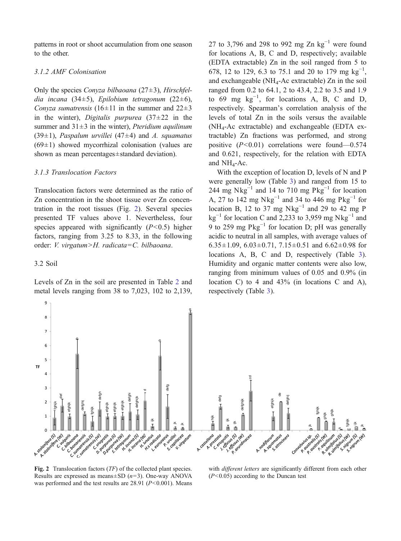patterns in root or shoot accumulation from one season to the other.

## 3.1.2 AMF Colonisation

Only the species *Conyza bilbaoana* ( $27±3$ ), *Hirschfel*dia incana (34 $\pm$ 5), Epilobium tetragonum (22 $\pm$ 6), Conyza sumatrensis (16 $\pm$ 11 in the summer and 22 $\pm$ 3 in the winter), Digitalis purpurea  $(37\pm22)$  in the summer and  $31\pm3$  in the winter), *Pteridium aquilinum* (39 $\pm$ 1), Paspalum urvillei (47 $\pm$ 4) and A. squamatus  $(69±1)$  showed mycorrhizal colonisation (values are shown as mean percentages±standard deviation).

## 3.1.3 Translocation Factors

Translocation factors were determined as the ratio of Zn concentration in the shoot tissue over Zn concentration in the root tissues (Fig. 2). Several species presented TF values above 1. Nevertheless, four species appeared with significantly  $(P<0.5)$  higher factors, ranging from 3.25 to 8.33, in the following order: V. virgatum>H. radicata=C. bilbaoana.

#### 3.2 Soil

Levels of Zn in the soil are presented in Table [2](#page-6-0) and metal levels ranging from 38 to 7,023, 102 to 2,139, 27 to 3,796 and 298 to 992 mg Zn kg<sup>-1</sup> were found for locations A, B, C and D, respectively; available (EDTA extractable) Zn in the soil ranged from 5 to 678, 12 to 129, 6.3 to 75.1 and 20 to 179 mg  $\text{kg}^{-1}$ , and exchangeable ( $NH<sub>4</sub>$ -Ac extractable) Zn in the soil ranged from 0.2 to 64.1, 2 to 43.4, 2.2 to 3.5 and 1.9 to 69 mg  $kg^{-1}$ , for locations A, B, C and D, respectively. Spearman's correlation analysis of the levels of total Zn in the soils versus the available  $(NH<sub>4</sub>-Ac$  extractable) and exchangeable (EDTA extractable) Zn fractions was performed, and strong positive  $(P<0.01)$  correlations were found—0.574 and 0.621, respectively, for the relation with EDTA and  $NH_4$ -Ac.

With the exception of location D, levels of N and P were generally low (Table [3](#page-7-0)) and ranged from 15 to 244 mg Nkg<sup> $-1$ </sup> and 14 to 710 mg Pkg<sup> $-1$ </sup> for location A, 27 to 142 mg Nkg<sup>-1</sup> and 34 to 446 mg Pkg<sup>-1</sup> for location B, 12 to 37 mg Nkg<sup>-1</sup> and 29 to 42 mg P kg<sup>-1</sup> for location C and 2,233 to 3,959 mg Nkg<sup>-1</sup> and 9 to 259 mg Pkg−<sup>1</sup> for location D; pH was generally acidic to neutral in all samples, with average values of 6.35 $\pm$ 1.09, 6.03 $\pm$ 0.71, 7.15 $\pm$ 0.51 and 6.62 $\pm$ 0.98 for locations A, B, C and D, respectively (Table [3\)](#page-7-0). Humidity and organic matter contents were also low, ranging from minimum values of 0.05 and 0.9% (in location C) to 4 and 43% (in locations C and A), respectively (Table [3](#page-7-0)).



Fig. 2 Translocation factors *(TF)* of the collected plant species. Results are expressed as means $\pm$ SD ( $n=3$ ). One-way ANOVA was performed and the test results are  $28.91$  ( $P < 0.001$ ). Means

with *different letters* are significantly different from each other  $(P<0.05)$  according to the Duncan test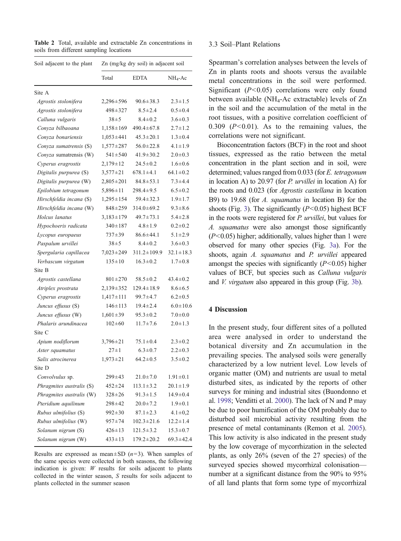<span id="page-6-0"></span>Table 2 Total, available and extractable Zn concentrations in soils from different sampling locations

| Soil adjacent to the plant | Zn (mg/kg dry soil) in adjacent soil |                   |                 |  |  |
|----------------------------|--------------------------------------|-------------------|-----------------|--|--|
|                            | Total                                | <b>EDTA</b>       | $NH_4$ -Ac      |  |  |
| Site A                     |                                      |                   |                 |  |  |
| Agrostis stolonifera       | 2,296±596                            | $90.6 \pm 38.3$   | $2.3 \pm 1.5$   |  |  |
| Agrostis stolonifera       | $498 + 327$                          | $8.5 \pm 2.4$     | $0.5 \pm 0.4$   |  |  |
| Calluna vulgaris           | $38 + 5$                             | $8.4 \pm 0.2$     | $3.6 \pm 0.3$   |  |  |
| Conyza bilbaoana           | $1,158 \pm 169$                      | $490.4 \pm 67.8$  | $2.7 \pm 1.2$   |  |  |
| Conyza bonariensis         | $1,053 \pm 441$                      | $45.3 \pm 20.1$   | $1.3 \pm 0.4$   |  |  |
| Conyza sumatrensis (S)     | $1,577 \pm 287$                      | $56.0 \pm 22.8$   | $4.1 \pm 1.9$   |  |  |
| Conyza sumatrensis (W)     | $541 \pm 540$                        | $41.9 \pm 30.2$   | $2.0 \pm 0.3$   |  |  |
| Cyperus eragrostis         | $2,179 \pm 12$                       | $24.5 \pm 0.2$    | $1.6 + 0.6$     |  |  |
| Digitalis purpurea (S)     | $3,577 \pm 21$                       | $678.1 \pm 4.1$   | $64.1 \pm 0.2$  |  |  |
| Digitalis purpurea (W)     | $2,805 \pm 201$                      | $84.8 \pm 53.1$   | $7.3 + 4.4$     |  |  |
| Epilobium tetragonum       | $5,896 \pm 11$                       | $298.4 \pm 9.5$   | $6.5 \pm 0.2$   |  |  |
| Hirschfeldia incana (S)    | $1,295 \pm 154$                      | $59.4 \pm 32.3$   | $1.9 \pm 1.7$   |  |  |
| Hirschfeldia incana (W)    | $848 + 259$                          | $314.0 \pm 69.2$  | $9.3 \pm 8.6$   |  |  |
| Holcus lanatus             | $3,183 \pm 179$                      | $49.7 \pm 73.1$   | $5.4 \pm 2.8$   |  |  |
| Hypochoeris radicata       | $340 \pm 187$                        | $4.8 \pm 1.9$     | $0.2 + 0.2$     |  |  |
| Lycopus europaeus          | $737 + 39$                           | $86.6 \pm 44.1$   | $5.1 \pm 2.9$   |  |  |
| Paspalum urvillei          | $38 + 5$                             | $8.4 \pm 0.2$     | $3.6 \pm 0.3$   |  |  |
| Spergularia capillacea     | $7,023 \pm 249$                      | $311.2 \pm 109.9$ | $32.1 \pm 18.3$ |  |  |
| Verbascum virgatum         | $135 \pm 10$                         | $16.3 \pm 0.2$    | $1.7 + 0.8$     |  |  |
| Site B                     |                                      |                   |                 |  |  |
| Agrostis castellana        | $801 + 270$                          | $58.5 \pm 0.2$    | $43.4 \pm 0.2$  |  |  |
| Atriplex prostrata         | $2,139\pm352$                        | $129.4 \pm 18.9$  | $8.6 \pm 6.5$   |  |  |
| Cyperus eragrostis         | $1,417 \pm 111$                      | $99.7 + 4.7$      | $6.2 \pm 0.5$   |  |  |
| Juncus effusus (S)         | $146 \pm 113$                        | $19.4 \pm 2.4$    | $6.0 \pm 10.6$  |  |  |
| Juncus effusus (W)         | $1,601 \pm 39$                       | $95.3 \pm 0.2$    | $7.0 \pm 0.0$   |  |  |
| Phalaris arundinacea       | $102 \pm 60$                         | $11.7 \pm 7.6$    | $2.0 \pm 1.3$   |  |  |
| Site C                     |                                      |                   |                 |  |  |
| Apium nodiflorum           | $3,796 \pm 21$                       | $75.1 \pm 0.4$    | $2.3 \pm 0.2$   |  |  |
| Aster squamatus            | $27 \pm 1$                           | $6.3 \pm 0.7$     | $2.2 \pm 0.3$   |  |  |
| Salix atrocinerea          | $1,973 \pm 21$                       | $64.2 \pm 0.5$    | $3.5 \pm 0.2$   |  |  |
| Site D                     |                                      |                   |                 |  |  |
| Convolvulus sp.            | $299 \pm 43$                         | $21.0 \pm 7.0$    | $1.91 \pm 0.1$  |  |  |
| Phragmites australis (S)   | $452 \pm 24$                         | $113.1 \pm 3.2$   | $20.1 \pm 1.9$  |  |  |
| Phragmites australis (W)   | $328 + 26$                           | $91.3 \pm 1.5$    | $14.9 \pm 0.4$  |  |  |
| Pteridium aquilinum        | $298 + 42$                           | $20.0 \pm 7.2$    | $1.9 \pm 0.1$   |  |  |
| Rubus ulmifolius (S)       | $992 \pm 30$                         | $87.1 \pm 2.3$    | $4.1 \pm 0.2$   |  |  |
| Rubus ulmifolius (W)       | $957 \pm 74$                         | $102.3 \pm 21.6$  | $12.2 \pm 1.4$  |  |  |
| Solanum nigrum (S)         | $426 \pm 13$                         | $121.5 \pm 3.2$   | $15.3 \pm 0.7$  |  |  |
| Solanum nigrum (W)         | $433 \pm 13$                         | $179.2 \pm 20.2$  | $69.3 \pm 42.4$ |  |  |

Results are expressed as mean $\pm$ SD (*n*=3). When samples of the same species were collected in both seasons, the following indication is given:  $W$  results for soils adjacent to plants collected in the winter season, S results for soils adjacent to plants collected in the summer season

#### 3.3 Soil–Plant Relations

Spearman's correlation analyses between the levels of Zn in plants roots and shoots versus the available metal concentrations in the soil were performed. Significant  $(P<0.05)$  correlations were only found between available ( $NH_4$ -Ac extractable) levels of Zn in the soil and the accumulation of the metal in the root tissues, with a positive correlation coefficient of  $0.309$  ( $P<0.01$ ). As to the remaining values, the correlations were not significant.

Bioconcentration factors (BCF) in the root and shoot tissues, expressed as the ratio between the metal concentration in the plant section and in soil, were determined; values ranged from 0.033 (for E. tetragonum in location A) to 20.97 (for P. *urvillei* in location A) for the roots and 0.023 (for Agrostis castellana in location B9) to 19.68 (for A. squamatus in location B) for the shoots (Fig. [3\)](#page-8-0). The significantly  $(P<0.05)$  highest BCF in the roots were registered for P. urvillei, but values for A. squamatus were also amongst those significantly  $(P<0.05)$  higher; additionally, values higher than 1 were observed for many other species (Fig. [3a\)](#page-8-0). For the shoots, again A. squamatus and P. urvillei appeared amongst the species with significantly  $(P<0.05)$  higher values of BCF, but species such as Calluna vulgaris and V. virgatum also appeared in this group (Fig. [3b](#page-8-0)).

## 4 Discussion

In the present study, four different sites of a polluted area were analysed in order to understand the botanical diversity and Zn accumulation in the prevailing species. The analysed soils were generally characterized by a low nutrient level. Low levels of organic matter (OM) and nutrients are usual to metal disturbed sites, as indicated by the reports of other surveys for mining and industrial sites (Buondonno et al. [1998;](#page-11-0) Venditti et al. [2000\)](#page-12-0). The lack of N and P may be due to poor humification of the OM probably due to disturbed soil microbial activity resulting from the presence of metal contaminants (Remon et al. [2005\)](#page-12-0). This low activity is also indicated in the present study by the low coverage of mycorrhization in the selected plants, as only 26% (seven of the 27 species) of the surveyed species showed mycorrhizal colonisation number at a significant distance from the 90% to 95% of all land plants that form some type of mycorrhizal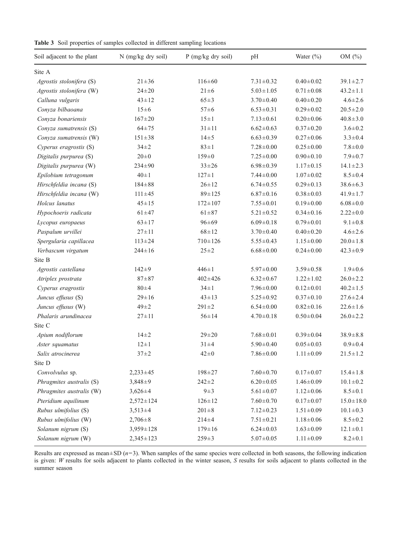<span id="page-7-0"></span>Table 3 Soil properties of samples collected in different sampling locations

| Soil adjacent to the plant | $N$ (mg/kg dry soil) | P (mg/kg dry soil) | pH              | Water $(\%)$    | OM $(\%)$       |
|----------------------------|----------------------|--------------------|-----------------|-----------------|-----------------|
| Site A                     |                      |                    |                 |                 |                 |
| Agrostis stolonifera (S)   | $21 \pm 36$          | $116 \pm 60$       | $7.31 \pm 0.32$ | $0.40 \pm 0.02$ | $39.1 \pm 2.7$  |
| Agrostis stolonifera (W)   | $24 \pm 20$          | $21 \pm 6$         | $5.03 \pm 1.05$ | $0.71 \pm 0.08$ | $43.2 \pm 1.1$  |
| Calluna vulgaris           | $43 \pm 12$          | $65 \pm 3$         | $3.70 \pm 0.40$ | $0.40 \pm 0.20$ | $4.6 \pm 2.6$   |
| Conyza bilbaoana           | $15 \pm 6$           | $57 \pm 6$         | $6.53 \pm 0.31$ | $0.29 \pm 0.02$ | $20.5 \pm 2.0$  |
| Conyza bonariensis         | $167 + 20$           | $15 \pm 1$         | $7.13 \pm 0.61$ | $0.20 \pm 0.06$ | $40.8 \pm 3.0$  |
| Conyza sumatrensis (S)     | $64 + 75$            | $31 \pm 11$        | $6.62 \pm 0.63$ | $0.37 \pm 0.20$ | $3.6 \pm 0.2$   |
| Conyza sumatrensis (W)     | $151 \pm 38$         | $14 \pm 5$         | $6.63 \pm 0.39$ | $0.27 \pm 0.06$ | $3.3 \pm 0.4$   |
| Cyperus eragrostis (S)     | $34 \pm 2$           | $83 \pm 1$         | $7.28 \pm 0.00$ | $0.25 \pm 0.00$ | $7.8 \pm 0.0$   |
| Digitalis purpurea (S)     | $20 \pm 0$           | $159 \pm 0$        | $7.25 \pm 0.00$ | $0.90 \pm 0.10$ | $7.9 \pm 0.7$   |
| Digitalis purpurea (W)     | $234 \pm 90$         | $33 \pm 26$        | $6.98 \pm 0.39$ | $1.17 \pm 0.15$ | $14.1 \pm 2.3$  |
| Epilobium tetragonum       | $40 \pm 1$           | $127 \pm 1$        | $7.44 \pm 0.00$ | $1.07 \pm 0.02$ | $8.5 \pm 0.4$   |
| Hirschfeldia incana (S)    | $184 \pm 88$         | $26 \pm 12$        | $6.74 \pm 0.55$ | $0.29 \pm 0.13$ | $38.6 \pm 6.3$  |
| Hirschfeldia incana (W)    | $111 \pm 45$         | $89 \pm 125$       | $6.87 \pm 0.16$ | $0.38 \pm 0.03$ | $41.9 \pm 1.7$  |
| Holcus lanatus             | $45 \pm 15$          | $172 \pm 107$      | $7.55 \pm 0.01$ | $0.19 \pm 0.00$ | $6.08 \pm 0.0$  |
| Hypochoeris radicata       | $61 + 47$            | $61 \pm 87$        | $5.21 \pm 0.52$ | $0.34 \pm 0.16$ | $2.22 \pm 0.0$  |
| Lycopus europaeus          | $63 \pm 17$          | $96 \pm 69$        | $6.09 \pm 0.18$ | $0.79 \pm 0.01$ | $9.1 \pm 0.8$   |
| Paspalum urvillei          | $27 \pm 11$          | $68 + 12$          | $3.70 \pm 0.40$ | $0.40 \pm 0.20$ | $4.6 \pm 2.6$   |
| Spergularia capillacea     | $113 \pm 24$         | $710 \pm 126$      | $5.55 \pm 0.43$ | $1.15 \pm 0.00$ | $20.0 \pm 1.8$  |
| Verbascum virgatum         | $244 \pm 16$         | $25 \pm 2$         | $6.68 \pm 0.00$ | $0.24 \pm 0.00$ | $42.3 \pm 0.9$  |
| Site B                     |                      |                    |                 |                 |                 |
| Agrostis castellana        | $142 + 9$            | $446 \pm 1$        | $5.97 \pm 0.00$ | $3.59 \pm 0.58$ | $1.9 \pm 0.6$   |
| Atriplex prostrata         | $87 + 87$            | $402 \pm 426$      | $6.32 \pm 0.67$ | $1.22 \pm 1.02$ | $26.0 \pm 2.2$  |
| Cyperus eragrostis         | $80 + 4$             | $34 \pm 1$         | $7.96 \pm 0.00$ | $0.12 \pm 0.01$ | $40.2 \pm 1.5$  |
| Juncus effusus (S)         | $29 \pm 16$          | $43 \pm 13$        | $5.25 \pm 0.92$ | $0.37 \pm 0.10$ | $27.6 \pm 2.4$  |
| Juncus effusus (W)         | $49 + 2$             | $291 \pm 2$        | $6.54 \pm 0.00$ | $0.82 \pm 0.16$ | $22.6 \pm 1.6$  |
| Phalaris arundinacea       | $27 \pm 11$          | $56 \pm 14$        | $4.70 \pm 0.18$ | $0.50 \pm 0.04$ | $26.0 \pm 2.2$  |
| Site C                     |                      |                    |                 |                 |                 |
| Apium nodiflorum           | $14 + 2$             | $29 + 20$          | $7.68 \pm 0.01$ | $0.39 \pm 0.04$ | $38.9 \pm 8.8$  |
| Aster squamatus            | $12 \pm 1$           | $31 \pm 4$         | $5.90 \pm 0.40$ | $0.05 \pm 0.03$ | $0.9 + 0.4$     |
| Salix atrocinerea          | $37 + 2$             | $42\pm0$           | $7.86 \pm 0.00$ | $1.11 \pm 0.09$ | $21.5 \pm 1.2$  |
| Site D                     |                      |                    |                 |                 |                 |
| Convolvulus sp.            | $2,233 \pm 45$       | $198 + 27$         | $7.60 \pm 0.70$ | $0.17 \pm 0.07$ | $15.4 \pm 1.8$  |
| Phragmites australis (S)   | $3,848 \pm 9$        | $242 \pm 2$        | $6.20 \pm 0.05$ | $1.46 \pm 0.09$ | $10.1 \pm 0.2$  |
| Phragmites australis (W)   | $3,626 \pm 4$        | $9\pm3$            | $5.61 \pm 0.07$ | $1.12 \pm 0.06$ | $8.5 \pm 0.1$   |
| Pteridium aquilinum        | $2,572 \pm 124$      | $126 \pm 12$       | $7.60 \pm 0.70$ | $0.17 + 0.07$   | $15.0 \pm 18.0$ |
| Rubus ulmifolius (S)       | $3,513 \pm 4$        | $201\pm8$          | $7.12 \pm 0.23$ | $1.51 \pm 0.09$ | $10.1 \pm 0.3$  |
| Rubus ulmifolius (W)       | $2,706 \pm 8$        | $214 \pm 4$        | $7.51 \pm 0.21$ | $1.18 \pm 0.06$ | $8.5 \pm 0.2$   |
| Solanum nigrum (S)         | $3,959 \pm 128$      | $179 \pm 16$       | $6.24 \pm 0.03$ | $1.63 \pm 0.09$ | $12.1 \pm 0.1$  |
| Solanum nigrum (W)         | $2,345 \pm 123$      | $259\pm3$          | $5.07 \pm 0.05$ | $1.11 \pm 0.09$ | $8.2 \pm 0.1$   |

Results are expressed as mean $\pm$ SD ( $n=3$ ). When samples of the same species were collected in both seasons, the following indication is given: W results for soils adjacent to plants collected in the winter season, S results for soils adjacent to plants collected in the summer season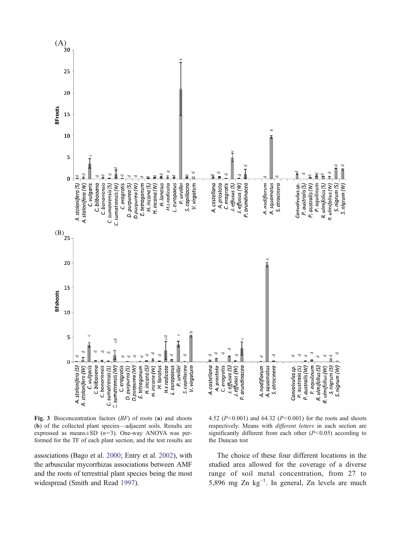<span id="page-8-0"></span>

Fig. 3 Bioconcentration factors  $(BF)$  of roots (a) and shoots (b) of the collected plant species—adjacent soils. Results are expressed as means $\pm$ SD ( $n=3$ ). One-way ANOVA was performed for the TF of each plant section, and the test results are

associations (Bago et al. [2000;](#page-10-0) Entry et al. [2002](#page-11-0)), with the arbuscular mycorrhizas associations between AMF and the roots of terrestrial plant species being the most widespread (Smith and Read [1997](#page-12-0)).

4.52 ( $P < 0.001$ ) and 64.32 ( $P < 0.001$ ) for the roots and shoots respectively. Means with different letters in each section are significantly different from each other  $(P<0.05)$  according to the Duncan test

The choice of these four different locations in the studied area allowed for the coverage of a diverse range of soil metal concentration, from 27 to 5,896 mg Zn kg−<sup>1</sup> . In general, Zn levels are much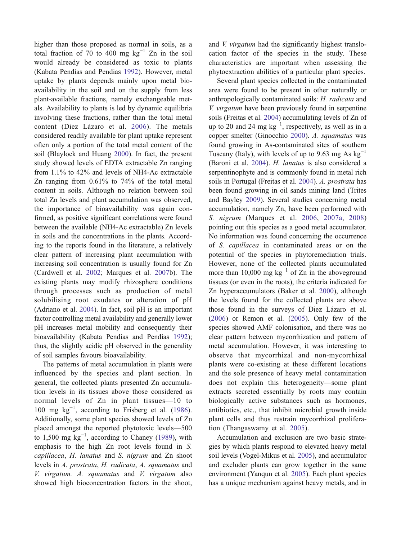higher than those proposed as normal in soils, as a total fraction of 70 to 400 mg  $kg^{-1}$  Zn in the soil would already be considered as toxic to plants (Kabata Pendias and Pendias [1992\)](#page-11-0). However, metal uptake by plants depends mainly upon metal bioavailability in the soil and on the supply from less plant-available fractions, namely exchangeable metals. Availability to plants is led by dynamic equilibria involving these fractions, rather than the total metal content (Diez Lázaro et al. [2006](#page-11-0)). The metals considered readily available for plant uptake represent often only a portion of the total metal content of the soil (Blaylock and Huang [2000\)](#page-11-0). In fact, the present study showed levels of EDTA extractable Zn ranging from 1.1% to 42% and levels of NH4-Ac extractable Zn ranging from 0.61% to 74% of the total metal content in soils. Although no relation between soil total Zn levels and plant accumulation was observed, the importance of bioavailability was again confirmed, as positive significant correlations were found between the available (NH4-Ac extractable) Zn levels in soils and the concentrations in the plants. According to the reports found in the literature, a relatively clear pattern of increasing plant accumulation with increasing soil concentration is usually found for Zn (Cardwell et al. [2002;](#page-11-0) Marques et al. [2007](#page-11-0)b). The existing plants may modify rhizosphere conditions through processes such as production of metal solubilising root exudates or alteration of pH (Adriano et al. [2004](#page-10-0)). In fact, soil pH is an important factor controlling metal availability and generally lower pH increases metal mobility and consequently their bioavailability (Kabata Pendias and Pendias [1992](#page-11-0)); thus, the slightly acidic pH observed in the generality of soil samples favours bioavailability.

The patterns of metal accumulation in plants were influenced by the species and plant section. In general, the collected plants presented Zn accumulation levels in its tissues above those considered as normal levels of Zn in plant tissues—10 to 100 mg kg−<sup>1</sup> , according to Frisberg et al. ([1986](#page-11-0)). Additionally, some plant species showed levels of Zn placed amongst the reported phytotoxic levels—500 to 1,500 mg  $\text{kg}^{-1}$ , according to Chaney [\(1989](#page-11-0)), with emphasis to the high Zn root levels found in S. capillacea, H. lanatus and S. nigrum and Zn shoot levels in A. prostrata, H. radicata, A. squamatus and V. virgatum. A. squamatus and V. virgatum also showed high bioconcentration factors in the shoot, and V. virgatum had the significantly highest translocation factor of the species in the study. These characteristics are important when assessing the phytoextraction abilities of a particular plant species.

Several plant species collected in the contaminated area were found to be present in other naturally or anthropologically contaminated soils: H. radicata and V. virgatum have been previously found in serpentine soils (Freitas et al. [2004](#page-11-0)) accumulating levels of Zn of up to 20 and 24 mg  $kg^{-1}$ , respectively, as well as in a copper smelter (Ginocchio [2000\)](#page-11-0). A. squamatus was found growing in As-contaminated sites of southern Tuscany (Italy), with levels of up to 9.63 mg As  $kg^{-1}$ (Baroni et al. [2004](#page-11-0)). H. lanatus is also considered a serpentinophyte and is commonly found in metal rich soils in Portugal (Freitas et al. [2004\)](#page-11-0). A. prostrata has been found growing in oil sands mining land (Trites and Bayley [2009](#page-12-0)). Several studies concerning metal accumulation, namely Zn, have been performed with S. nigrum (Marques et al. [2006,](#page-11-0) [2007a](#page-11-0), [2008](#page-11-0)) pointing out this species as a good metal accumulator. No information was found concerning the occurrence of S. capillacea in contaminated areas or on the potential of the species in phytoremediation trials. However, none of the collected plants accumulated more than 10,000 mg  $kg^{-1}$  of Zn in the above ground tissues (or even in the roots), the criteria indicated for Zn hyperaccumulators (Baker et al. [2000\)](#page-11-0), although the levels found for the collected plants are above those found in the surveys of Diez Lázaro et al. [\(2006](#page-11-0)) or Remon et al. ([2005\)](#page-12-0). Only few of the species showed AMF colonisation, and there was no clear pattern between mycorrhization and pattern of metal accumulation. However, it was interesting to observe that mycorrhizal and non-mycorrhizal plants were co-existing at these different locations and the sole presence of heavy metal contamination does not explain this heterogeneity—some plant extracts secreted essentially by roots may contain biologically active substances such as hormones, antibiotics, etc., that inhibit microbial growth inside plant cells and thus restrain mycorrhizal proliferation (Thangaswamy et al. [2005](#page-12-0)).

Accumulation and exclusion are two basic strategies by which plants respond to elevated heavy metal soil levels (Vogel-Mikus et al. [2005](#page-12-0)), and accumulator and excluder plants can grow together in the same environment (Yanqun et al. [2005](#page-12-0)). Each plant species has a unique mechanism against heavy metals, and in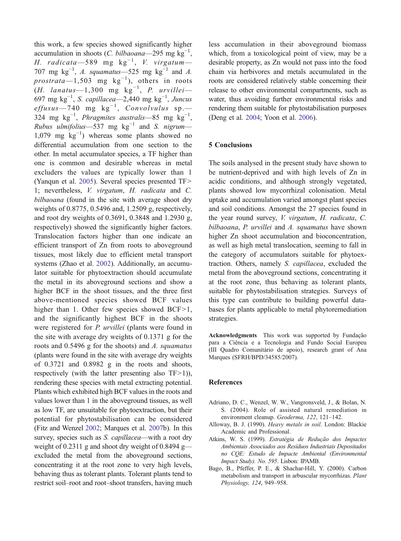<span id="page-10-0"></span>this work, a few species showed significantly higher accumulation in shoots (*C. bilbaoana*—295 mg kg<sup>-1</sup>, H. radicata—589 mg kg<sup>-1</sup>, V. virgatum— 707 mg kg<sup>-1</sup>, A. squamatus—525 mg kg<sup>-1</sup> and A.  $prostrata$ —1,503 mg  $kg^{-1}$ ), others in roots  $(H.$  lanatus—1,300 mg  $kg^{-1}$ , *P. urvillei*— 697 mg kg<sup>-1</sup>, *S. capillacea*—2,440 mg kg<sup>-1</sup>, *Juncus*  $\textit{effusus}$ —740 mg kg $^{-1}$ , Convolvulus sp.— 324 mg  $kg^{-1}$ , *Phragmites australis*—85 mg  $kg^{-1}$ , Rubus ulmifolius—537 mg  $kg^{-1}$  and S. nigrum— 1,079 mg kg−<sup>1</sup> ) whereas some plants showed no differential accumulation from one section to the other. In metal accumulator species, a TF higher than one is common and desirable whereas in metal excluders the values are typically lower than 1 (Yanqun et al. [2005\)](#page-12-0). Several species presented TF> 1; nevertheless, V. virgatum, H. radicata and C. bilbaoana (found in the site with average shoot dry weights of 0.8775, 0.5496 and, 1.2509 g, respectively, and root dry weights of 0.3691, 0.3848 and 1.2930 g, respectively) showed the significantly higher factors. Translocation factors higher than one indicate an efficient transport of Zn from roots to aboveground tissues, most likely due to efficient metal transport systems (Zhao et al. [2002](#page-12-0)). Additionally, an accumulator suitable for phytoextraction should accumulate the metal in its aboveground sections and show a higher BCF in the shoot tissues, and the three first above-mentioned species showed BCF values higher than 1. Other few species showed BCF>1, and the significantly highest BCF in the shoots were registered for P. urvillei (plants were found in the site with average dry weights of 0.1371 g for the roots and  $0.5496$  g for the shoots) and A. squamatus (plants were found in the site with average dry weights of 0.3721 and 0.8982 g in the roots and shoots, respectively (with the latter presenting also TF>1)), rendering these species with metal extracting potential. Plants which exhibited high BCF values in the roots and values lower than 1 in the aboveground tissues, as well as low TF, are unsuitable for phytoextraction, but their potential for phytostabilisation can be considered (Fitz and Wenzel [2002](#page-11-0); Marques et al. [2007b](#page-11-0)). In this survey, species such as S. capillacea—with a root dry weight of 0.2311 g and shoot dry weight of 0.8494 g excluded the metal from the aboveground sections, concentrating it at the root zone to very high levels, behaving thus as tolerant plants. Tolerant plants tend to restrict soil–root and root–shoot transfers, having much less accumulation in their aboveground biomass which, from a toxicological point of view, may be a desirable property, as Zn would not pass into the food chain via herbivores and metals accumulated in the roots are considered relatively stable concerning their release to other environmental compartments, such as water, thus avoiding further environmental risks and rendering them suitable for phytostabilisation purposes (Deng et al. [2004;](#page-11-0) Yoon et al. [2006](#page-12-0)).

## 5 Conclusions

The soils analysed in the present study have shown to be nutrient-deprived and with high levels of Zn in acidic conditions, and although strongly vegetated, plants showed low mycorrhizal colonisation. Metal uptake and accumulation varied amongst plant species and soil conditions. Amongst the 27 species found in the year round survey, V. virgatum, H. radicata, C. bilbaoana, P. urvillei and A. squamatus have shown higher Zn shoot accumulation and bioconcentration, as well as high metal translocation, seeming to fall in the category of accumulators suitable for phytoextraction. Others, namely S. capillacea, excluded the metal from the aboveground sections, concentrating it at the root zone, thus behaving as tolerant plants, suitable for phytostabilisation strategies. Surveys of this type can contribute to building powerful databases for plants applicable to metal phytoremediation strategies.

Acknowledgments This work was supported by Fundação para a Ciência e a Tecnologia and Fundo Social Europeu (III Quadro Comunitário de apoio), research grant of Ana Marques (SFRH/BPD/34585/2007).

# References

- Adriano, D. C., Wenzel, W. W., Vangronsveld, J., & Bolan, N. S. (2004). Role of assisted natural remediation in environment cleanup. Geoderma, 122, 121–142.
- Alloway, B. J. (1990). Heavy metals in soil. London: Blackie Academic and Professional.
- Atkins, W. S. (1999). Estratégia de Redução dos Impactes Ambientais Associados aos Resíduos Industriais Depositados no CQE: Estudo de Impacte Ambiental (Environmental Impact Study). No. 595. Lisbon: IPAMB.
- Bago, B., Pfeffer, P. E., & Shachar-Hill, Y. (2000). Carbon metabolism and transport in arbuscular mycorrhizas. Plant Physiology, 124, 949–958.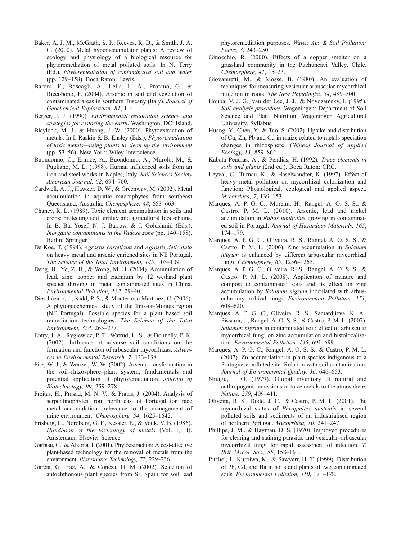- <span id="page-11-0"></span>Baker, A. J. M., McGrath, S. P., Reeves, R. D., & Smith, J. A. C. (2000). Metal hyperaccumulator plants: A review of ecology and physiology of a biological resource for phytoremediation of metal polluted soils. In N. Terry (Ed.), Phytoremediation of contaminated soil and water (pp. 129–158). Boca Raton: Lewis.
- Baroni, F., Boscagli, A., Lella, L. A., Protano, G., & Riccobono, F. (2004). Arsenic in soil and vegetation of contaminated areas in southern Tuscany (Italy). Journal of Geochemical Exploration, 81, 1–4.
- Berger, J. J. (1990). Environmental restoration science and strategies for restoring the earth. Washington, DC: Island.
- Blaylock, M. J., & Huang, J. W. (2000). Phytoextraction of metals. In I. Raskin & B. Ensley (Eds.), Phytoremediation of toxic metals—using plants to clean up the environment (pp. 53–56). New York: Wiley Interscience.
- Buondonno, C., Ermice, A., Buondonno, A., Murolo, M., & Pugliano, M. L. (1998). Human influenced soils from an iron and steel works in Naples, Italy. Soil Sciences Society American Journal, 62, 694–700.
- Cardwell, A. J., Hawker, D. W., & Greenway, M. (2002). Metal accumulation in aquatic macrophytes from southeast Queensland, Australia. Chemosphere, 48, 653–663.
- Chaney, R. L. (1989). Toxic element accumulation in soils and crops: protecting soil fertility and agricultural food-chains. In B. Bar-Yosef, N. J. Barrow, & J. Goldshmid (Eds.), Inorganic contaminants in the Vadose zone (pp. 140–158). Berlin: Springer.
- De Koe, T. (1994). Agrostis castellana and Agrostis delicatula on heavy metal and arsenic enriched sites in NE Portugal. The Science of the Total Environment, 145, 103–109.
- Deng, H., Ye, Z. H., & Wong, M. H. (2004). Accumulation of lead, zinc, copper and cadmium by 12 wetland plant species thriving in metal contaminated sites in China. Environmental Pollution, 132, 29–40.
- Diez Lázaro, J., Kidd, P. S., & Monterroso Martinez, C. (2006). A phytogeochemical study of the Trás-os-Montes region (NE Portugal): Possible species for a plant based soil remediation technologies. The Science of the Total Environment, 354, 265–277.
- Entry, J. A., Rygiewicz, P. T., Watrud, L. S., & Donnelly, P. K. (2002). Influence of adverse soil conditions on the formation and function of arbuscular mycorrhizas. Advances in Environmental Research, 7, 123–138.
- Fitz, W. J., & Wenzel, W. W. (2002). Arsenic transformation in the soil–rhizosphere–plant system, fundamentals and potential application of phytoremediation. Journal of Biotechnology, 99, 259–278.
- Freitas, H., Prasad, M. N. V., & Pratas, J. (2004). Analysis of serpentinophytes from north east of Portugal for trace metal accumulation—relevance to the management of mine environment. Chemosphere, 54, 1625–1642.
- Frisberg, L., Nordberg, G. F., Kessler, E., & Vouk, V. B. (1986). Handbook of the toxicology of metals (Vol. I, II). Amsterdam: Elsevier Science.
- Garbisu, C., & Alkorta, I. (2001). Phytoextraction: A cost-effective plant-based technology for the removal of metals from the environment. Bioresource Technology, 77, 229–236.
- Garcia, G., Faz, A., & Conesa, H. M. (2002). Selection of autochthonous plant species from SE Spain for soil lead

phytoremediation purposes. Water, Air, & Soil Pollution: Focus, 3, 243–250.

- Ginocchio, R. (2000). Effects of a copper smelter on a grassland community in the Puchuncavi Valley, Chile. Chemosphere, 41, 15–23.
- Giovannetti, M., & Mosse, B. (1980). An evaluation of techniques for measuring vesicular arbuscular mycorrhizal infection in roots. The New Phytologist, 84, 489–500.
- Houba, V. J. G., van der Lee, J. J., & Novozamsky, I. (1995). Soil analysis procedure. Wageningen: Department of Soil Science and Plant Nutrition, Wageningen Agricultural University. Syllabus.
- Huang, Y., Chen, Y., & Tao, S. (2002). Uptake and distribution of Cu, Zn, Pb and Cd in maize related to metals speciation changes in rhizosphere. Chinese Journal of Applied Ecology, 13, 859–862.
- Kabata Pendias, A., & Pendias, H. (1992). Trace elements in soils and plants (2nd ed.). Boca Raton: CRC.
- Leyval, C., Turnau, K., & Haselwandter, K. (1997). Effect of heavy metal pollution on mycorrhizal colonization and function: Physiological, ecological and applied aspect. Mycorrhiza, 7, 139–153.
- Marques, A. P. G. C., Moreira, H., Rangel, A. O. S. S., & Castro, P. M. L. (2010). Arsenic, lead and nickel accumulation in Rubus ulmifolius growing in contaminated soil in Portugal. Journal of Hazardous Materials, 165, 174–179.
- Marques, A. P. G. C., Oliveira, R. S., Rangel, A. O. S. S., & Castro, P. M. L. (2006). Zinc accumulation in Solanum nigrum is enhanced by different arbuscular mycorrhizal fungi. Chemosphere, 65, 1256–1265.
- Marques, A. P. G. C., Oliveira, R. S., Rangel, A. O. S. S., & Castro, P. M. L. (2008). Application of manure and compost to contaminated soils and its effect on zinc accumulation by Solanum nigrum inoculated with arbuscular mycorrhizal fungi. Environmental Pollution, 151, 608–620.
- Marques, A. P. G. C., Oliveira, R. S., Samardjieva, K. A., Pissarra, J., Rangel, A. O. S. S., & Castro, P. M. L. (2007). Solanum nigrum in contaminated soil: effect of arbuscular mycorrhizal fungi on zinc accumulation and histolocalisation. Environmental Pollution, 145, 691–699.
- Marques, A. P. G. C., Rangel, A. O. S. S., & Castro, P. M. L. (2007). Zn accumulation in plant species indigenous to a Portuguese polluted site: Relation with soil contamination. Journal of Environmental Quality, 36, 646–653.
- Nriagu, J. O. (1979). Global inventory of natural and anthropogenic emissions of trace metals to the atmosphere. Nature, 279, 409–411.
- Oliveira, R. S., Dodd, J. C., & Castro, P. M. L. (2001). The mycorrhizal status of Phragmites australis in several polluted soils and sediments of an industrialised region of northern Portugal. Mycorrhiza, 10, 241–247.
- Phillips, J. M., & Hayman, D. S. (1970). Improved procedures for clearing and staining parasitic and vesicular–arbuscular mycorrhizal fungi for rapid assessment of infection. T. Brit. Mycol. Soc., 55, 158–161.
- Pitchel, J., Kuroiwa, K., & Sawyerr, H. T. (1999). Distribution of Pb, Cd, and Ba in soils and plants of two contaminated soils. Environmental Pollution, 110, 171–178.